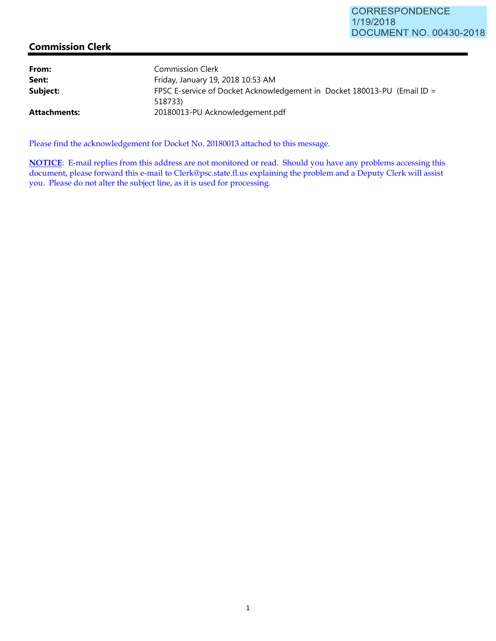## **Commission Clerk**

| From:        | <b>Commission Clerk</b>                                                             |
|--------------|-------------------------------------------------------------------------------------|
| Sent:        | Friday, January 19, 2018 10:53 AM                                                   |
| Subject:     | FPSC E-service of Docket Acknowledgement in Docket 180013-PU (Email ID =<br>518733) |
| Attachments: | 20180013-PU Acknowledgement.pdf                                                     |

Please find the acknowledgement for Docket No. 20180013 attached to this message.

**NOTICE**: E-mail replies from this address are not monitored or read. Should you have any problems accessing this document, please forward this e-mail to Clerk@psc.state.fl.us explaining the problem and a Deputy Clerk will assist you. Please do not alter the subject line, as it is used for processing.